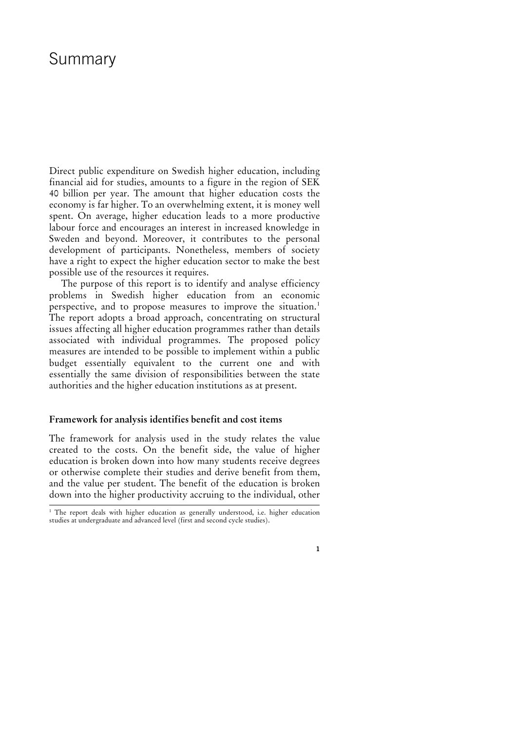# Summary

Direct public expenditure on Swedish higher education, including financial aid for studies, amounts to a figure in the region of SEK 40 billion per year. The amount that higher education costs the economy is far higher. To an overwhelming extent, it is money well spent. On average, higher education leads to a more productive labour force and encourages an interest in increased knowledge in Sweden and beyond. Moreover, it contributes to the personal development of participants. Nonetheless, members of society have a right to expect the higher education sector to make the best possible use of the resources it requires.

The purpose of this report is to identify and analyse efficiency problems in Swedish higher education from an economic perspective, and to propose measures to improve the situation.<sup>[1](#page-0-0)</sup> The report adopts a broad approach, concentrating on structural issues affecting all higher education programmes rather than details associated with individual programmes. The proposed policy measures are intended to be possible to implement within a public budget essentially equivalent to the current one and with essentially the same division of responsibilities between the state authorities and the higher education institutions as at present.

### **Framework for analysis identifies benefit and cost items**

The framework for analysis used in the study relates the value created to the costs. On the benefit side, the value of higher education is broken down into how many students receive degrees or otherwise complete their studies and derive benefit from them, and the value per student. The benefit of the education is broken down into the higher productivity accruing to the individual, other

<span id="page-0-0"></span> <sup>1</sup> The report deals with higher education as generally understood, i.e. higher education studies at undergraduate and advanced level (first and second cycle studies).

**<sup>1</sup>**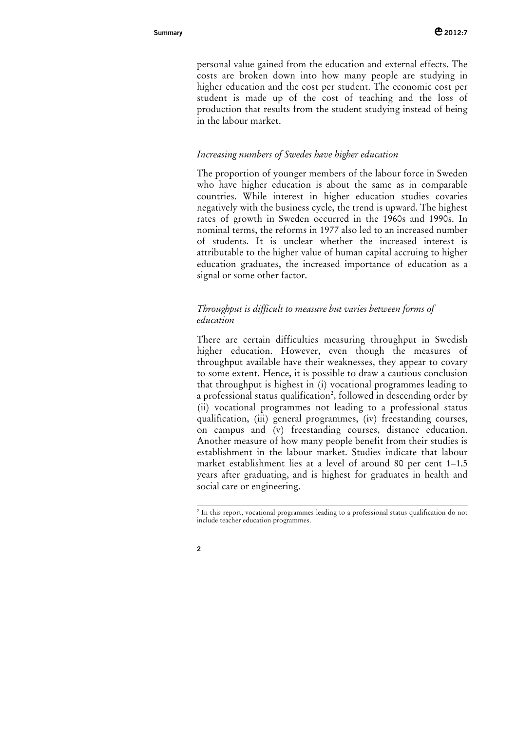personal value gained from the education and external effects. The costs are broken down into how many people are studying in higher education and the cost per student. The economic cost per student is made up of the cost of teaching and the loss of production that results from the student studying instead of being in the labour market.

### *Increasing numbers of Swedes have higher education*

The proportion of younger members of the labour force in Sweden who have higher education is about the same as in comparable countries. While interest in higher education studies covaries negatively with the business cycle, the trend is upward. The highest rates of growth in Sweden occurred in the 1960s and 1990s. In nominal terms, the reforms in 1977 also led to an increased number of students. It is unclear whether the increased interest is attributable to the higher value of human capital accruing to higher education graduates, the increased importance of education as a signal or some other factor.

### *Throughput is difficult to measure but varies between forms of education*

There are certain difficulties measuring throughput in Swedish higher education. However, even though the measures of throughput available have their weaknesses, they appear to covary to some extent. Hence, it is possible to draw a cautious conclusion that throughput is highest in (i) vocational programmes leading to a professional status qualification<sup>[2](#page-1-0)</sup>, followed in descending order by (ii) vocational programmes not leading to a professional status qualification, (iii) general programmes, (iv) freestanding courses, on campus and (v) freestanding courses, distance education. Another measure of how many people benefit from their studies is establishment in the labour market. Studies indicate that labour market establishment lies at a level of around 80 per cent 1–1.5 years after graduating, and is highest for graduates in health and social care or engineering.

<span id="page-1-0"></span><sup>&</sup>lt;sup>2</sup> In this report, vocational programmes leading to a professional status qualification do not include teacher education programmes.

**<sup>2</sup>**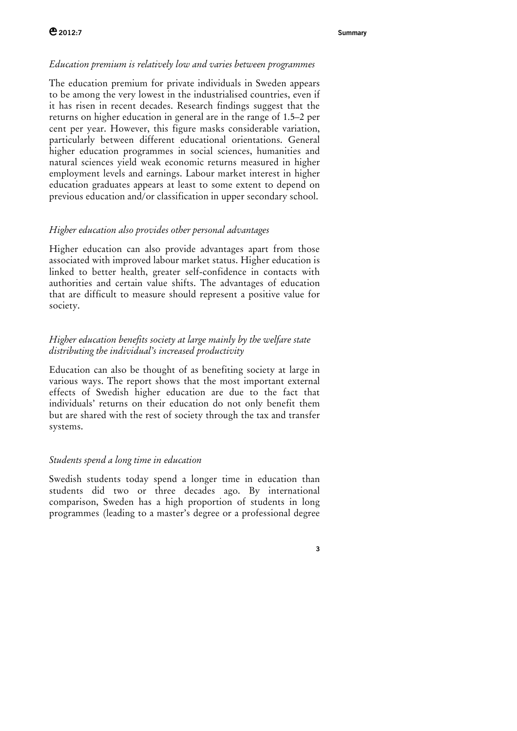### *Education premium is relatively low and varies between programmes*

The education premium for private individuals in Sweden appears to be among the very lowest in the industrialised countries, even if it has risen in recent decades. Research findings suggest that the returns on higher education in general are in the range of 1.5–2 per cent per year. However, this figure masks considerable variation, particularly between different educational orientations. General higher education programmes in social sciences, humanities and natural sciences yield weak economic returns measured in higher employment levels and earnings. Labour market interest in higher education graduates appears at least to some extent to depend on previous education and/or classification in upper secondary school.

### *Higher education also provides other personal advantages*

Higher education can also provide advantages apart from those associated with improved labour market status. Higher education is linked to better health, greater self-confidence in contacts with authorities and certain value shifts. The advantages of education that are difficult to measure should represent a positive value for society.

## *Higher education benefits society at large mainly by the welfare state distributing the individual's increased productivity*

Education can also be thought of as benefiting society at large in various ways. The report shows that the most important external effects of Swedish higher education are due to the fact that individuals' returns on their education do not only benefit them but are shared with the rest of society through the tax and transfer systems.

### *Students spend a long time in education*

Swedish students today spend a longer time in education than students did two or three decades ago. By international comparison, Sweden has a high proportion of students in long programmes (leading to a master's degree or a professional degree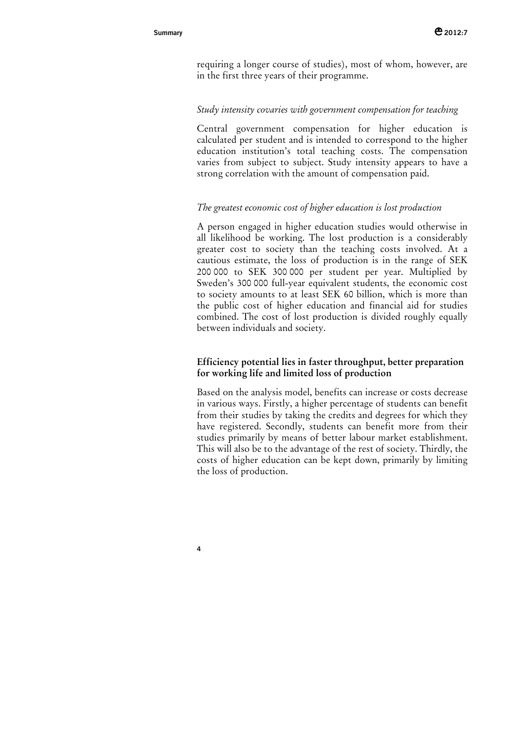**4**

requiring a longer course of studies), most of whom, however, are in the first three years of their programme.

### *Study intensity covaries with government compensation for teaching*

Central government compensation for higher education is calculated per student and is intended to correspond to the higher education institution's total teaching costs. The compensation varies from subject to subject. Study intensity appears to have a strong correlation with the amount of compensation paid.

### *The greatest economic cost of higher education is lost production*

A person engaged in higher education studies would otherwise in all likelihood be working. The lost production is a considerably greater cost to society than the teaching costs involved. At a cautious estimate, the loss of production is in the range of SEK 200 000 to SEK 300 000 per student per year. Multiplied by Sweden's 300 000 full-year equivalent students, the economic cost to society amounts to at least SEK 60 billion, which is more than the public cost of higher education and financial aid for studies combined. The cost of lost production is divided roughly equally between individuals and society.

### **Efficiency potential lies in faster throughput, better preparation for working life and limited loss of production**

Based on the analysis model, benefits can increase or costs decrease in various ways. Firstly, a higher percentage of students can benefit from their studies by taking the credits and degrees for which they have registered. Secondly, students can benefit more from their studies primarily by means of better labour market establishment. This will also be to the advantage of the rest of society. Thirdly, the costs of higher education can be kept down, primarily by limiting the loss of production.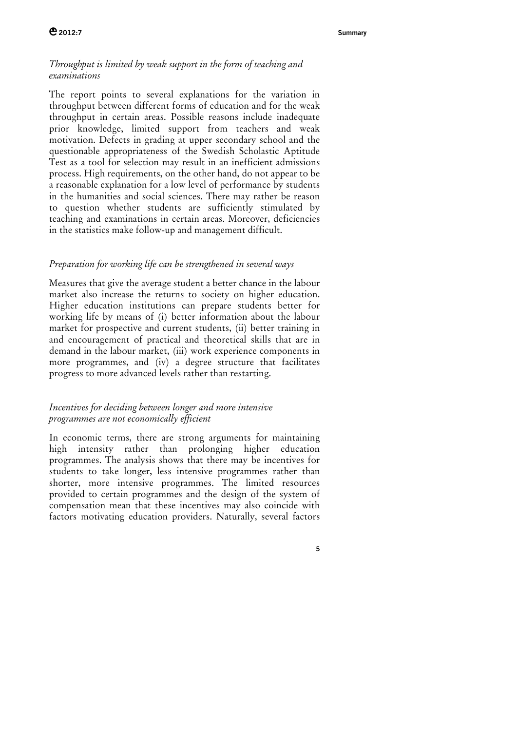### *Throughput is limited by weak support in the form of teaching and examinations*

The report points to several explanations for the variation in throughput between different forms of education and for the weak throughput in certain areas. Possible reasons include inadequate prior knowledge, limited support from teachers and weak motivation. Defects in grading at upper secondary school and the questionable appropriateness of the Swedish Scholastic Aptitude Test as a tool for selection may result in an inefficient admissions process. High requirements, on the other hand, do not appear to be a reasonable explanation for a low level of performance by students in the humanities and social sciences. There may rather be reason to question whether students are sufficiently stimulated by teaching and examinations in certain areas. Moreover, deficiencies in the statistics make follow-up and management difficult.

### *Preparation for working life can be strengthened in several ways*

Measures that give the average student a better chance in the labour market also increase the returns to society on higher education. Higher education institutions can prepare students better for working life by means of (i) better information about the labour market for prospective and current students, (ii) better training in and encouragement of practical and theoretical skills that are in demand in the labour market, (iii) work experience components in more programmes, and (iv) a degree structure that facilitates progress to more advanced levels rather than restarting.

### *Incentives for deciding between longer and more intensive programmes are not economically efficient*

In economic terms, there are strong arguments for maintaining high intensity rather than prolonging higher education programmes. The analysis shows that there may be incentives for students to take longer, less intensive programmes rather than shorter, more intensive programmes. The limited resources provided to certain programmes and the design of the system of compensation mean that these incentives may also coincide with factors motivating education providers. Naturally, several factors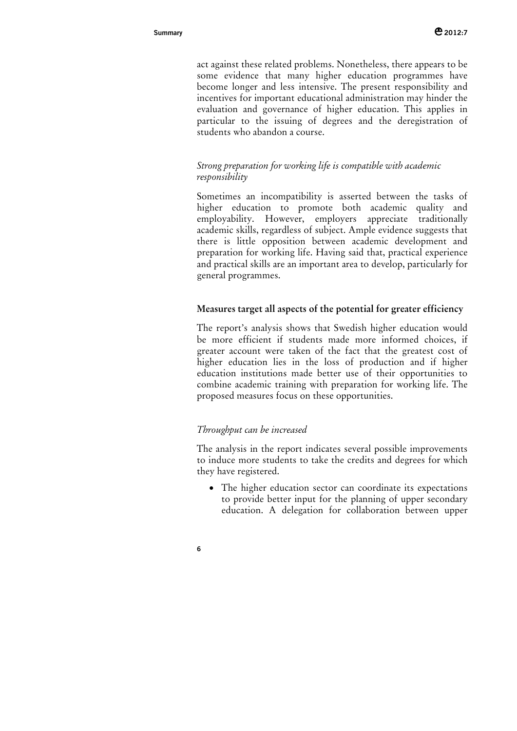act against these related problems. Nonetheless, there appears to be some evidence that many higher education programmes have become longer and less intensive. The present responsibility and incentives for important educational administration may hinder the evaluation and governance of higher education. This applies in particular to the issuing of degrees and the deregistration of students who abandon a course.

### *Strong preparation for working life is compatible with academic responsibility*

Sometimes an incompatibility is asserted between the tasks of higher education to promote both academic quality and employability. However, employers appreciate traditionally academic skills, regardless of subject. Ample evidence suggests that there is little opposition between academic development and preparation for working life. Having said that, practical experience and practical skills are an important area to develop, particularly for general programmes.

### **Measures target all aspects of the potential for greater efficiency**

The report's analysis shows that Swedish higher education would be more efficient if students made more informed choices, if greater account were taken of the fact that the greatest cost of higher education lies in the loss of production and if higher education institutions made better use of their opportunities to combine academic training with preparation for working life. The proposed measures focus on these opportunities.

### *Throughput can be increased*

The analysis in the report indicates several possible improvements to induce more students to take the credits and degrees for which they have registered.

• The higher education sector can coordinate its expectations to provide better input for the planning of upper secondary education. A delegation for collaboration between upper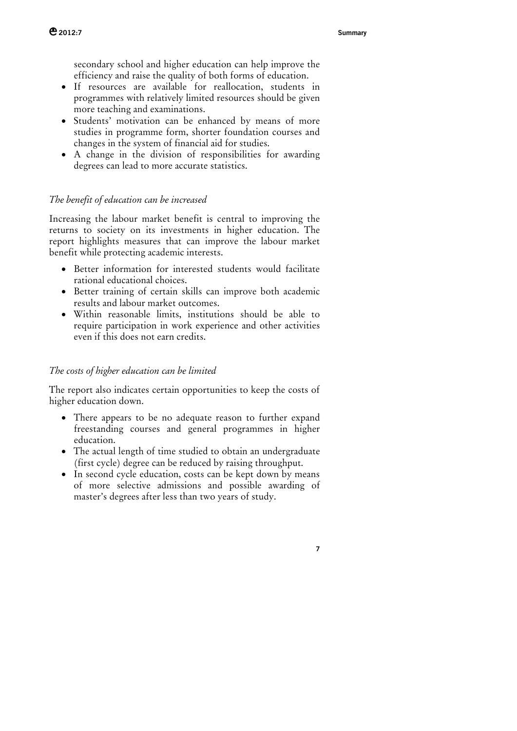secondary school and higher education can help improve the efficiency and raise the quality of both forms of education.

- If resources are available for reallocation, students in programmes with relatively limited resources should be given more teaching and examinations.
- Students' motivation can be enhanced by means of more studies in programme form, shorter foundation courses and changes in the system of financial aid for studies.
- A change in the division of responsibilities for awarding degrees can lead to more accurate statistics.

### *The benefit of education can be increased*

Increasing the labour market benefit is central to improving the returns to society on its investments in higher education. The report highlights measures that can improve the labour market benefit while protecting academic interests.

- Better information for interested students would facilitate rational educational choices.
- Better training of certain skills can improve both academic results and labour market outcomes.
- Within reasonable limits, institutions should be able to require participation in work experience and other activities even if this does not earn credits.

### *The costs of higher education can be limited*

The report also indicates certain opportunities to keep the costs of higher education down.

- There appears to be no adequate reason to further expand freestanding courses and general programmes in higher education.
- The actual length of time studied to obtain an undergraduate (first cycle) degree can be reduced by raising throughput.
- In second cycle education, costs can be kept down by means of more selective admissions and possible awarding of master's degrees after less than two years of study.